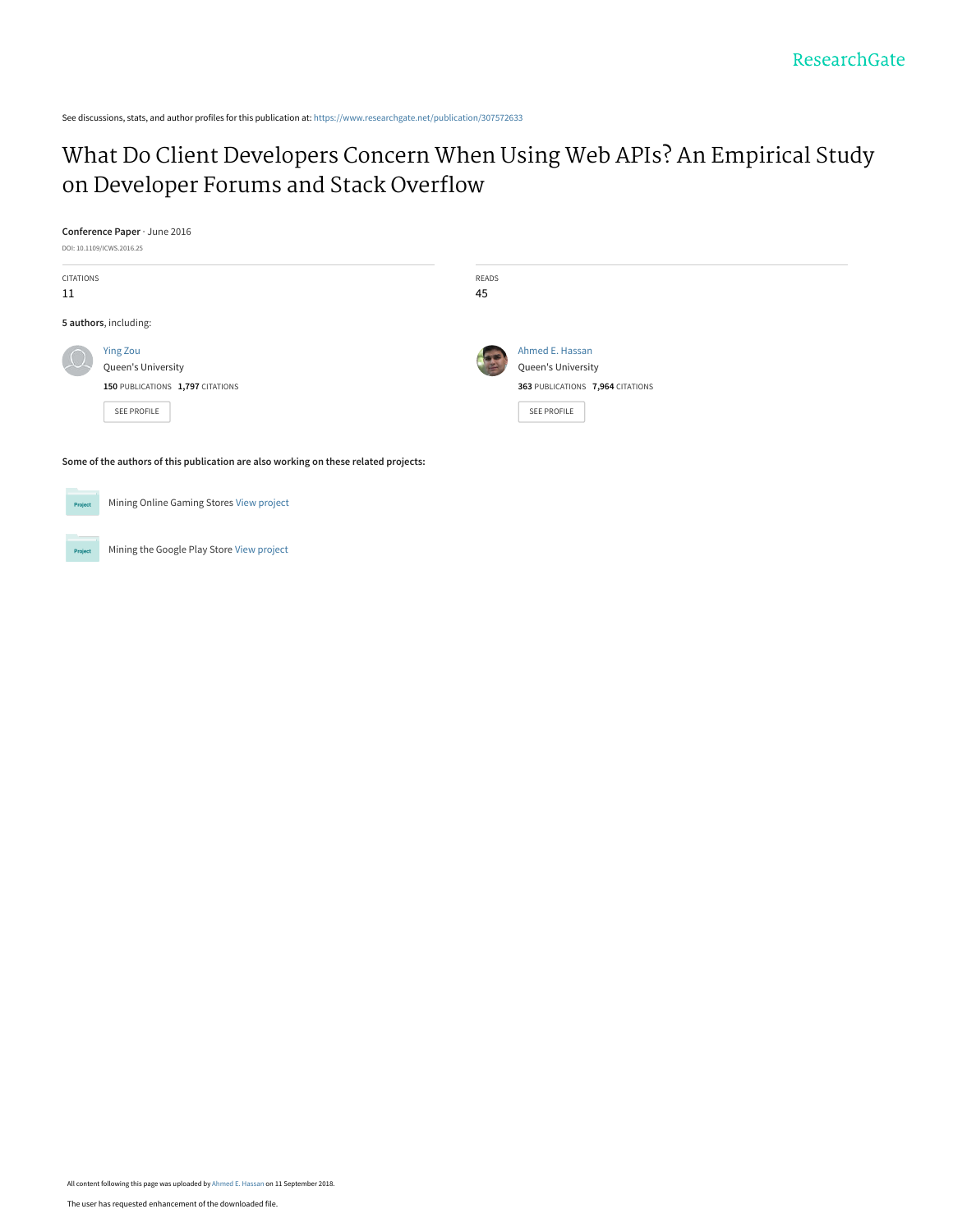See discussions, stats, and author profiles for this publication at: [https://www.researchgate.net/publication/307572633](https://www.researchgate.net/publication/307572633_What_Do_Client_Developers_Concern_When_Using_Web_APIs_An_Empirical_Study_on_Developer_Forums_and_Stack_Overflow?enrichId=rgreq-3035639bfb69775346f2a05bce08377f-XXX&enrichSource=Y292ZXJQYWdlOzMwNzU3MjYzMztBUzo2Njk2Nzg0NDM3MTI1MjBAMTUzNjY3NTE5MTE1MQ%3D%3D&el=1_x_2&_esc=publicationCoverPdf)

# [What Do Client Developers Concern When Using Web APIs? An Empirical Study](https://www.researchgate.net/publication/307572633_What_Do_Client_Developers_Concern_When_Using_Web_APIs_An_Empirical_Study_on_Developer_Forums_and_Stack_Overflow?enrichId=rgreq-3035639bfb69775346f2a05bce08377f-XXX&enrichSource=Y292ZXJQYWdlOzMwNzU3MjYzMztBUzo2Njk2Nzg0NDM3MTI1MjBAMTUzNjY3NTE5MTE1MQ%3D%3D&el=1_x_3&_esc=publicationCoverPdf) on Developer Forums and Stack Overflow

|                 | Conference Paper · June 2016<br>DOI: 10.1109/ICWS.2016.25                                                                       |             |                                                                                                 |  |  |  |  |  |  |  |  |
|-----------------|---------------------------------------------------------------------------------------------------------------------------------|-------------|-------------------------------------------------------------------------------------------------|--|--|--|--|--|--|--|--|
| CITATIONS<br>11 |                                                                                                                                 | READS<br>45 |                                                                                                 |  |  |  |  |  |  |  |  |
|                 | 5 authors, including:                                                                                                           |             |                                                                                                 |  |  |  |  |  |  |  |  |
|                 | <b>Ying Zou</b><br>Queen's University<br>150 PUBLICATIONS 1,797 CITATIONS<br>SEE PROFILE                                        |             | Ahmed E. Hassan<br>Queen's University<br>363 PUBLICATIONS 7,964 CITATIONS<br><b>SEE PROFILE</b> |  |  |  |  |  |  |  |  |
| Project         | Some of the authors of this publication are also working on these related projects:<br>Mining Online Gaming Stores View project |             |                                                                                                 |  |  |  |  |  |  |  |  |

Mining the Google Play Store [View project](https://www.researchgate.net/project/Mining-the-Google-Play-Store?enrichId=rgreq-3035639bfb69775346f2a05bce08377f-XXX&enrichSource=Y292ZXJQYWdlOzMwNzU3MjYzMztBUzo2Njk2Nzg0NDM3MTI1MjBAMTUzNjY3NTE5MTE1MQ%3D%3D&el=1_x_9&_esc=publicationCoverPdf) **Project**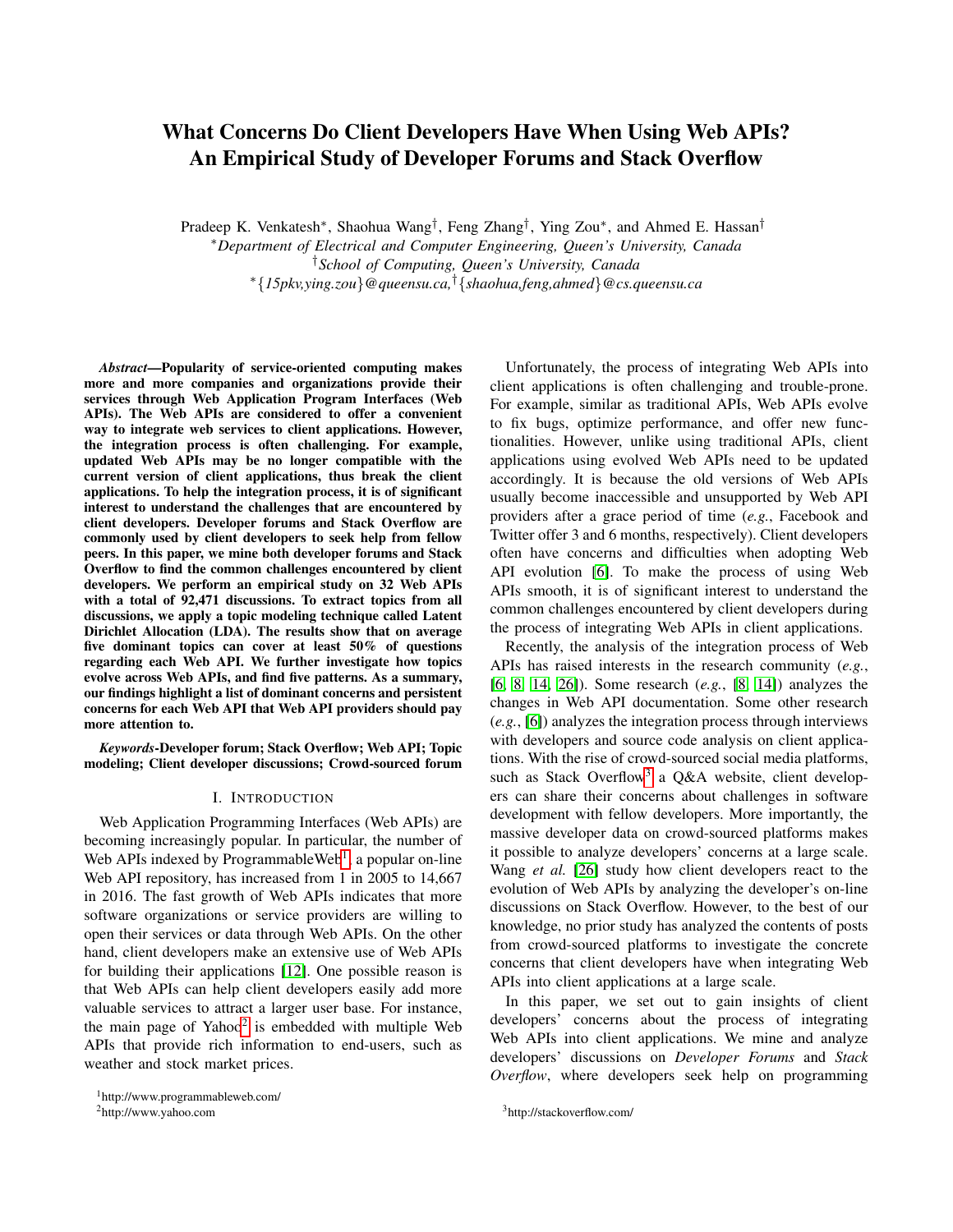# What Concerns Do Client Developers Have When Using Web APIs? An Empirical Study of Developer Forums and Stack Overflow

Pradeep K. Venkatesh\*, Shaohua Wang<sup>†</sup>, Feng Zhang<sup>†</sup>, Ying Zou\*, and Ahmed E. Hassan<sup>†</sup>

<sup>∗</sup>*Department of Electrical and Computer Engineering, Queen's University, Canada* †*School of Computing, Queen's University, Canada* <sup>∗</sup>{*15pkv,ying.zou*}*@queensu.ca,*†{*shaohua,feng,ahmed*}*@cs.queensu.ca*

*Abstract*—Popularity of service-oriented computing makes more and more companies and organizations provide their services through Web Application Program Interfaces (Web APIs). The Web APIs are considered to offer a convenient way to integrate web services to client applications. However, the integration process is often challenging. For example, updated Web APIs may be no longer compatible with the current version of client applications, thus break the client applications. To help the integration process, it is of significant interest to understand the challenges that are encountered by client developers. Developer forums and Stack Overflow are commonly used by client developers to seek help from fellow peers. In this paper, we mine both developer forums and Stack Overflow to find the common challenges encountered by client developers. We perform an empirical study on 32 Web APIs with a total of 92,471 discussions. To extract topics from all discussions, we apply a topic modeling technique called Latent Dirichlet Allocation (LDA). The results show that on average five dominant topics can cover at least 50% of questions regarding each Web API. We further investigate how topics evolve across Web APIs, and find five patterns. As a summary, our findings highlight a list of dominant concerns and persistent concerns for each Web API that Web API providers should pay more attention to.

*Keywords*-Developer forum; Stack Overflow; Web API; Topic modeling; Client developer discussions; Crowd-sourced forum

#### I. INTRODUCTION

Web Application Programming Interfaces (Web APIs) are becoming increasingly popular. In particular, the number of Web APIs indexed by ProgrammableWeb<sup>[1](#page-1-0)</sup>, a popular on-line Web API repository, has increased from 1 in 2005 to 14,667 in 2016. The fast growth of Web APIs indicates that more software organizations or service providers are willing to open their services or data through Web APIs. On the other hand, client developers make an extensive use of Web APIs for building their applications [\[12\]](#page-8-0). One possible reason is that Web APIs can help client developers easily add more valuable services to attract a larger user base. For instance, the main page of Yahoo<sup>[2](#page-1-1)</sup> is embedded with multiple Web APIs that provide rich information to end-users, such as weather and stock market prices.

<span id="page-1-1"></span><sup>2</sup>http://www.yahoo.com

Unfortunately, the process of integrating Web APIs into client applications is often challenging and trouble-prone. For example, similar as traditional APIs, Web APIs evolve to fix bugs, optimize performance, and offer new functionalities. However, unlike using traditional APIs, client applications using evolved Web APIs need to be updated accordingly. It is because the old versions of Web APIs usually become inaccessible and unsupported by Web API providers after a grace period of time (*e.g.*, Facebook and Twitter offer 3 and 6 months, respectively). Client developers often have concerns and difficulties when adopting Web API evolution [\[6\]](#page-8-1). To make the process of using Web APIs smooth, it is of significant interest to understand the common challenges encountered by client developers during the process of integrating Web APIs in client applications.

Recently, the analysis of the integration process of Web APIs has raised interests in the research community (*e.g.*, [\[6,](#page-8-1) [8,](#page-8-2) [14,](#page-8-3) [26\]](#page-8-4)). Some research (*e.g.*, [\[8,](#page-8-2) [14\]](#page-8-3)) analyzes the changes in Web API documentation. Some other research (*e.g.*, [\[6\]](#page-8-1)) analyzes the integration process through interviews with developers and source code analysis on client applications. With the rise of crowd-sourced social media platforms, such as Stack Overflow<sup>[3](#page-1-2)</sup> a Q&A website, client developers can share their concerns about challenges in software development with fellow developers. More importantly, the massive developer data on crowd-sourced platforms makes it possible to analyze developers' concerns at a large scale. Wang *et al.* [\[26\]](#page-8-4) study how client developers react to the evolution of Web APIs by analyzing the developer's on-line discussions on Stack Overflow. However, to the best of our knowledge, no prior study has analyzed the contents of posts from crowd-sourced platforms to investigate the concrete concerns that client developers have when integrating Web APIs into client applications at a large scale.

In this paper, we set out to gain insights of client developers' concerns about the process of integrating Web APIs into client applications. We mine and analyze developers' discussions on *Developer Forums* and *Stack Overflow*, where developers seek help on programming

<span id="page-1-0"></span><sup>1</sup>http://www.programmableweb.com/

<span id="page-1-2"></span><sup>3</sup>http://stackoverflow.com/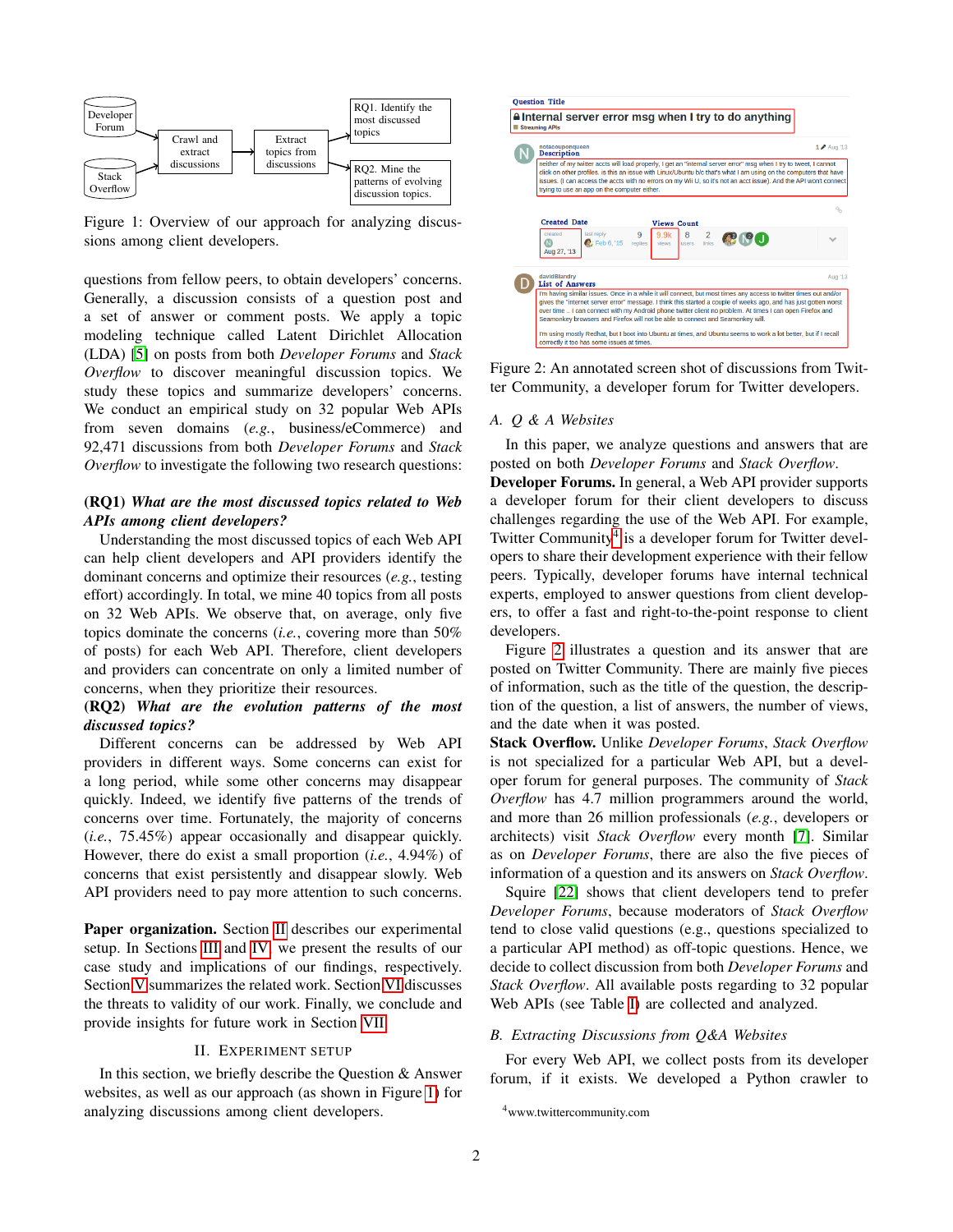<span id="page-2-1"></span>

Figure 1: Overview of our approach for analyzing discussions among client developers.

questions from fellow peers, to obtain developers' concerns. Generally, a discussion consists of a question post and a set of answer or comment posts. We apply a topic modeling technique called Latent Dirichlet Allocation (LDA) [\[5\]](#page-8-5) on posts from both *Developer Forums* and *Stack Overflow* to discover meaningful discussion topics. We study these topics and summarize developers' concerns. We conduct an empirical study on 32 popular Web APIs from seven domains (*e.g.*, business/eCommerce) and 92,471 discussions from both *Developer Forums* and *Stack Overflow* to investigate the following two research questions:

# (RQ1) *What are the most discussed topics related to Web APIs among client developers?*

Understanding the most discussed topics of each Web API can help client developers and API providers identify the dominant concerns and optimize their resources (*e.g.*, testing effort) accordingly. In total, we mine 40 topics from all posts on 32 Web APIs. We observe that, on average, only five topics dominate the concerns (*i.e.*, covering more than 50% of posts) for each Web API. Therefore, client developers and providers can concentrate on only a limited number of concerns, when they prioritize their resources.

# (RQ2) *What are the evolution patterns of the most discussed topics?*

Different concerns can be addressed by Web API providers in different ways. Some concerns can exist for a long period, while some other concerns may disappear quickly. Indeed, we identify five patterns of the trends of concerns over time. Fortunately, the majority of concerns (*i.e.*, 75.45%) appear occasionally and disappear quickly. However, there do exist a small proportion (*i.e.*, 4.94%) of concerns that exist persistently and disappear slowly. Web API providers need to pay more attention to such concerns.

Paper organization. Section [II](#page-2-0) describes our experimental setup. In Sections [III](#page-4-0) and [IV,](#page-7-0) we present the results of our case study and implications of our findings, respectively. Section [V](#page-7-1) summarizes the related work. Section [VI](#page-7-2) discusses the threats to validity of our work. Finally, we conclude and provide insights for future work in Section [VII.](#page-8-6)

#### II. EXPERIMENT SETUP

<span id="page-2-0"></span>In this section, we briefly describe the Question & Answer websites, as well as our approach (as shown in Figure [1\)](#page-2-1) for analyzing discussions among client developers.

<span id="page-2-3"></span>

Figure 2: An annotated screen shot of discussions from Twitter Community, a developer forum for Twitter developers.

#### *A. Q & A Websites*

In this paper, we analyze questions and answers that are posted on both *Developer Forums* and *Stack Overflow*.

Developer Forums. In general, a Web API provider supports a developer forum for their client developers to discuss challenges regarding the use of the Web API. For example, Twitter Community<sup>[4](#page-2-2)</sup> is a developer forum for Twitter developers to share their development experience with their fellow peers. Typically, developer forums have internal technical experts, employed to answer questions from client developers, to offer a fast and right-to-the-point response to client developers.

Figure [2](#page-2-3) illustrates a question and its answer that are posted on Twitter Community. There are mainly five pieces of information, such as the title of the question, the description of the question, a list of answers, the number of views, and the date when it was posted.

Stack Overflow. Unlike *Developer Forums*, *Stack Overflow* is not specialized for a particular Web API, but a developer forum for general purposes. The community of *Stack Overflow* has 4.7 million programmers around the world, and more than 26 million professionals (*e.g.*, developers or architects) visit *Stack Overflow* every month [\[7\]](#page-8-7). Similar as on *Developer Forums*, there are also the five pieces of information of a question and its answers on *Stack Overflow*.

Squire [\[22\]](#page-8-8) shows that client developers tend to prefer *Developer Forums*, because moderators of *Stack Overflow* tend to close valid questions (e.g., questions specialized to a particular API method) as off-topic questions. Hence, we decide to collect discussion from both *Developer Forums* and *Stack Overflow*. All available posts regarding to 32 popular Web APIs (see Table [I\)](#page-3-0) are collected and analyzed.

# *B. Extracting Discussions from Q&A Websites*

For every Web API, we collect posts from its developer forum, if it exists. We developed a Python crawler to

<span id="page-2-2"></span><sup>4</sup>www.twittercommunity.com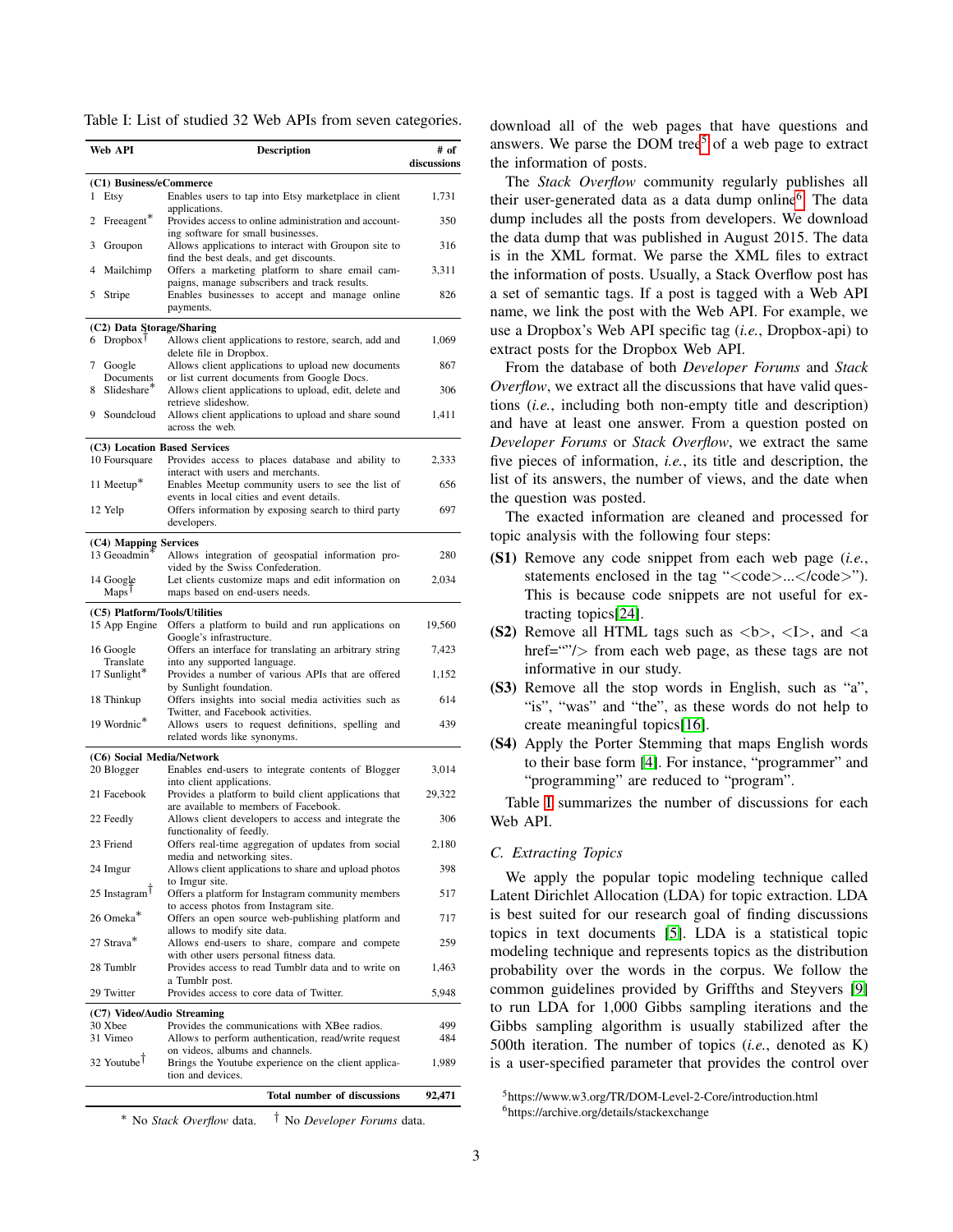<span id="page-3-0"></span>Table I: List of studied 32 Web APIs from seven categories.

| Web API                             | Description                                                                                                    | # of<br>discussions |
|-------------------------------------|----------------------------------------------------------------------------------------------------------------|---------------------|
|                                     |                                                                                                                |                     |
| Etsy<br>1                           | (C1) Business/eCommerce<br>Enables users to tap into Etsy marketplace in client<br>applications.               | 1,731               |
| Freeagent*<br>2                     | Provides access to online administration and account-<br>ing software for small businesses.                    | 350                 |
| 3<br>Groupon                        | Allows applications to interact with Groupon site to<br>find the best deals, and get discounts.                | 316                 |
| 4<br>Mailchimp                      | Offers a marketing platform to share email cam-<br>paigns, manage subscribers and track results.               | 3,311               |
| Stripe<br>5                         | Enables businesses to accept and manage online<br>payments.                                                    | 826                 |
|                                     |                                                                                                                |                     |
| $6$ Dropbox <sup>1</sup>            | (C2) Data Storage/Sharing<br>Allows client applications to restore, search, add and<br>delete file in Dropbox. | 1,069               |
| Google<br>7<br>Documents            | Allows client applications to upload new documents<br>or list current documents from Google Docs.              | 867                 |
| Slideshare*<br>8                    | Allows client applications to upload, edit, delete and<br>retrieve slideshow.                                  | 306                 |
| 9<br>Soundcloud                     | Allows client applications to upload and share sound<br>across the web.                                        | 1,411               |
|                                     | (C3) Location Based Services                                                                                   |                     |
| 10 Foursquare                       | Provides access to places database and ability to<br>interact with users and merchants.                        | 2,333               |
| 11 Meetup*                          | Enables Meetup community users to see the list of<br>events in local cities and event details.                 | 656                 |
| 12 Yelp                             | Offers information by exposing search to third party<br>developers.                                            | 697                 |
|                                     | (C4) Mapping Services                                                                                          |                     |
| 13 Geoadmin                         | Allows integration of geospatial information pro-<br>vided by the Swiss Confederation.                         | 280                 |
| 14 Google<br>Maps <sup>1</sup>      | Let clients customize maps and edit information on<br>maps based on end-users needs.                           | 2,034               |
|                                     | (C5) Platform/Tools/Utilities                                                                                  |                     |
| 15 App Engine                       | Offers a platform to build and run applications on<br>Google's infrastructure.                                 | 19,560              |
| 16 Google<br>Translate              | Offers an interface for translating an arbitrary string<br>into any supported language.                        | 7,423               |
| 17 Sunlight*                        | Provides a number of various APIs that are offered<br>by Sunlight foundation.                                  | 1,152               |
| 18 Thinkup                          | Offers insights into social media activities such as<br>Twitter, and Facebook activities.                      | 614                 |
| 19 Wordnic*                         | Allows users to request definitions, spelling and<br>related words like synonyms.                              | 439                 |
|                                     | (C6) Social Media/Network                                                                                      |                     |
| 20 Blogger                          | Enables end-users to integrate contents of Blogger<br>into client applications.                                | 3,014               |
| 21 Facebook                         | Provides a platform to build client applications that<br>are available to members of Facebook.                 | 29,322              |
| 22 Feedly                           | Allows client developers to access and integrate the<br>functionality of feedly.                               | 306                 |
| 23 Friend                           | Offers real-time aggregation of updates from social<br>media and networking sites.                             | 2,180               |
| 24 Imgur                            | Allows client applications to share and upload photos<br>to Imgur site.                                        | 398                 |
| 25 Instagram <sup>†</sup>           | Offers a platform for Instagram community members<br>to access photos from Instagram site.                     | 517                 |
| 26 Omeka <sup>*</sup>               | Offers an open source web-publishing platform and<br>allows to modify site data.                               | 717                 |
| 27 Strava <sup>*</sup>              | Allows end-users to share, compare and compete<br>with other users personal fitness data.                      | 259                 |
| 28 Tumblr                           | Provides access to read Tumblr data and to write on<br>a Tumblr post.                                          | 1,463               |
| 29 Twitter                          | Provides access to core data of Twitter.                                                                       | 5,948               |
|                                     | (C7) Video/Audio Streaming                                                                                     |                     |
| 30 Xbee                             | Provides the communications with XBee radios.                                                                  | 499                 |
| 31 Vimeo<br>32 Youtube <sup>†</sup> | Allows to perform authentication, read/write request<br>on videos, albums and channels.                        | 484                 |
|                                     | Brings the Youtube experience on the client applica-<br>tion and devices.                                      | 1,989               |
|                                     | <b>Total number of discussions</b>                                                                             | 92,471              |

∗ No *Stack Overflow* data. † No *Developer Forums* data.

download all of the web pages that have questions and answers. We parse the DOM tree<sup>[5](#page-3-1)</sup> of a web page to extract the information of posts.

The *Stack Overflow* community regularly publishes all their user-generated data as a data dump online<sup>[6](#page-3-2)</sup>. The data dump includes all the posts from developers. We download the data dump that was published in August 2015. The data is in the XML format. We parse the XML files to extract the information of posts. Usually, a Stack Overflow post has a set of semantic tags. If a post is tagged with a Web API name, we link the post with the Web API. For example, we use a Dropbox's Web API specific tag (*i.e.*, Dropbox-api) to extract posts for the Dropbox Web API.

From the database of both *Developer Forums* and *Stack Overflow*, we extract all the discussions that have valid questions (*i.e.*, including both non-empty title and description) and have at least one answer. From a question posted on *Developer Forums* or *Stack Overflow*, we extract the same five pieces of information, *i.e.*, its title and description, the list of its answers, the number of views, and the date when the question was posted.

The exacted information are cleaned and processed for topic analysis with the following four steps:

- (S1) Remove any code snippet from each web page (*i.e.*, statements enclosed in the tag "<code>...</code>"). This is because code snippets are not useful for extracting topics[\[24\]](#page-8-9).
- (S2) Remove all HTML tags such as **,**  $**1**$ **, and**  $**4**$ href=""/> from each web page, as these tags are not informative in our study.
- (S3) Remove all the stop words in English, such as "a", "is", "was" and "the", as these words do not help to create meaningful topics[\[16\]](#page-8-10).
- (S4) Apply the Porter Stemming that maps English words to their base form [\[4\]](#page-8-11). For instance, "programmer" and "programming" are reduced to "program".

Table [I](#page-3-0) summarizes the number of discussions for each Web API.

#### *C. Extracting Topics*

We apply the popular topic modeling technique called Latent Dirichlet Allocation (LDA) for topic extraction. LDA is best suited for our research goal of finding discussions topics in text documents [\[5\]](#page-8-5). LDA is a statistical topic modeling technique and represents topics as the distribution probability over the words in the corpus. We follow the common guidelines provided by Griffths and Steyvers [\[9\]](#page-8-12) to run LDA for 1,000 Gibbs sampling iterations and the Gibbs sampling algorithm is usually stabilized after the 500th iteration. The number of topics (*i.e.*, denoted as K) is a user-specified parameter that provides the control over

<span id="page-3-2"></span><span id="page-3-1"></span><sup>5</sup>https://www.w3.org/TR/DOM-Level-2-Core/introduction.html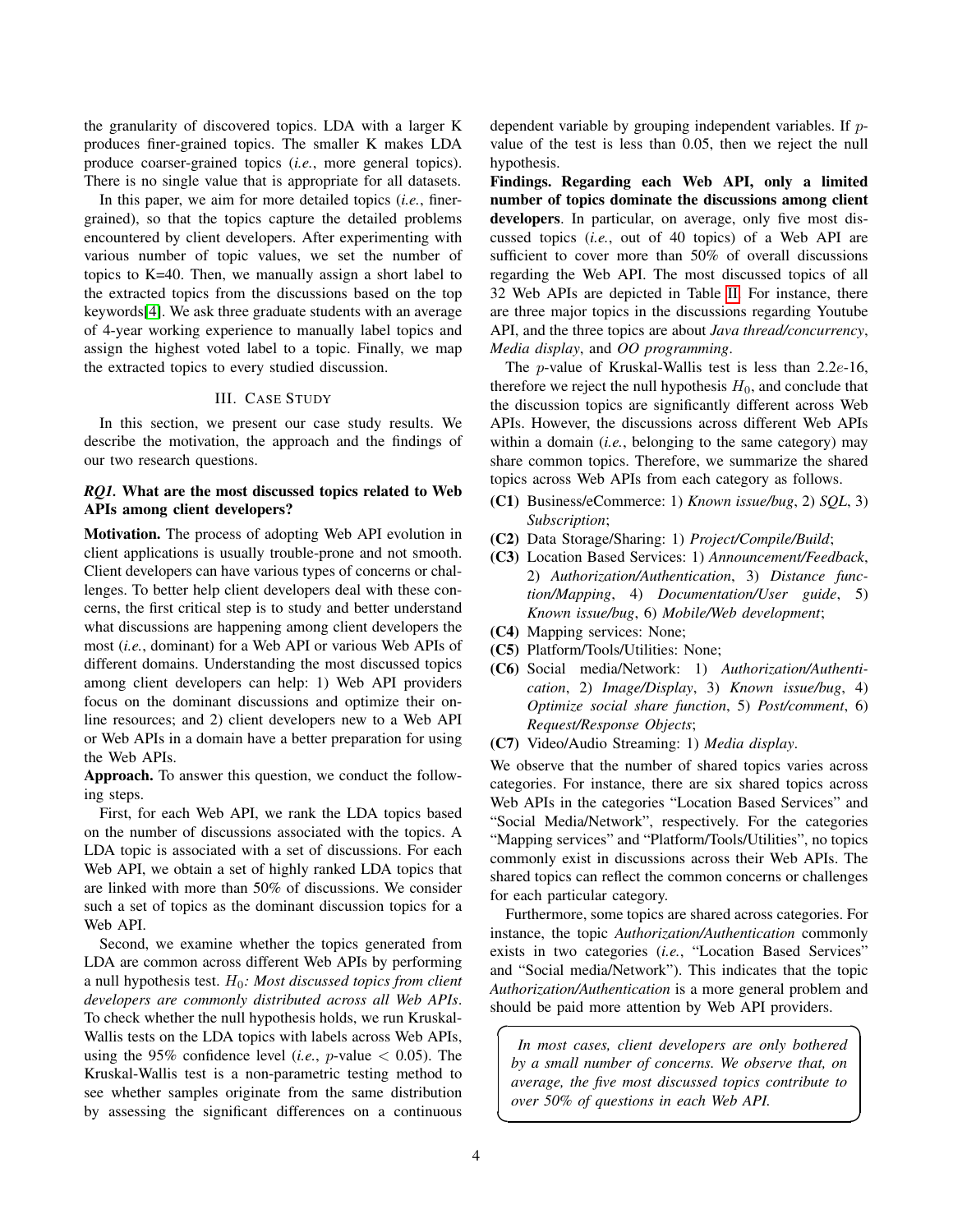the granularity of discovered topics. LDA with a larger K produces finer-grained topics. The smaller K makes LDA produce coarser-grained topics (*i.e.*, more general topics). There is no single value that is appropriate for all datasets.

In this paper, we aim for more detailed topics (*i.e.*, finergrained), so that the topics capture the detailed problems encountered by client developers. After experimenting with various number of topic values, we set the number of topics to K=40. Then, we manually assign a short label to the extracted topics from the discussions based on the top keywords[\[4\]](#page-8-11). We ask three graduate students with an average of 4-year working experience to manually label topics and assign the highest voted label to a topic. Finally, we map the extracted topics to every studied discussion.

#### III. CASE STUDY

<span id="page-4-0"></span>In this section, we present our case study results. We describe the motivation, the approach and the findings of our two research questions.

# *RQ1.* What are the most discussed topics related to Web APIs among client developers?

Motivation. The process of adopting Web API evolution in client applications is usually trouble-prone and not smooth. Client developers can have various types of concerns or challenges. To better help client developers deal with these concerns, the first critical step is to study and better understand what discussions are happening among client developers the most (*i.e.*, dominant) for a Web API or various Web APIs of different domains. Understanding the most discussed topics among client developers can help: 1) Web API providers focus on the dominant discussions and optimize their online resources; and 2) client developers new to a Web API or Web APIs in a domain have a better preparation for using the Web APIs.

Approach. To answer this question, we conduct the following steps.

First, for each Web API, we rank the LDA topics based on the number of discussions associated with the topics. A LDA topic is associated with a set of discussions. For each Web API, we obtain a set of highly ranked LDA topics that are linked with more than 50% of discussions. We consider such a set of topics as the dominant discussion topics for a Web API.

Second, we examine whether the topics generated from LDA are common across different Web APIs by performing a null hypothesis test. H0*: Most discussed topics from client developers are commonly distributed across all Web APIs*. To check whether the null hypothesis holds, we run Kruskal-Wallis tests on the LDA topics with labels across Web APIs, using the 95% confidence level (*i.e.*, *p*-value  $\lt$  0.05). The Kruskal-Wallis test is a non-parametric testing method to see whether samples originate from the same distribution by assessing the significant differences on a continuous dependent variable by grouping independent variables. If pvalue of the test is less than 0.05, then we reject the null hypothesis.

Findings. Regarding each Web API, only a limited number of topics dominate the discussions among client developers. In particular, on average, only five most discussed topics (*i.e.*, out of 40 topics) of a Web API are sufficient to cover more than 50% of overall discussions regarding the Web API. The most discussed topics of all 32 Web APIs are depicted in Table [II.](#page-5-0) For instance, there are three major topics in the discussions regarding Youtube API, and the three topics are about *Java thread/concurrency*, *Media display*, and *OO programming*.

The p-value of Kruskal-Wallis test is less than 2.2e-16, therefore we reject the null hypothesis  $H_0$ , and conclude that the discussion topics are significantly different across Web APIs. However, the discussions across different Web APIs within a domain (*i.e.*, belonging to the same category) may share common topics. Therefore, we summarize the shared topics across Web APIs from each category as follows.

- (C1) Business/eCommerce: 1) *Known issue/bug*, 2) *SQL*, 3) *Subscription*;
- (C2) Data Storage/Sharing: 1) *Project/Compile/Build*;
- (C3) Location Based Services: 1) *Announcement/Feedback*, 2) *Authorization/Authentication*, 3) *Distance function/Mapping*, 4) *Documentation/User guide*, 5) *Known issue/bug*, 6) *Mobile/Web development*;
- (C4) Mapping services: None;
- (C5) Platform/Tools/Utilities: None;
- (C6) Social media/Network: 1) *Authorization/Authentication*, 2) *Image/Display*, 3) *Known issue/bug*, 4) *Optimize social share function*, 5) *Post/comment*, 6) *Request/Response Objects*;
- (C7) Video/Audio Streaming: 1) *Media display*.

We observe that the number of shared topics varies across categories. For instance, there are six shared topics across Web APIs in the categories "Location Based Services" and "Social Media/Network", respectively. For the categories "Mapping services" and "Platform/Tools/Utilities", no topics commonly exist in discussions across their Web APIs. The shared topics can reflect the common concerns or challenges for each particular category.

Furthermore, some topics are shared across categories. For instance, the topic *Authorization/Authentication* commonly exists in two categories (*i.e.*, "Location Based Services" and "Social media/Network"). This indicates that the topic *Authorization/Authentication* is a more general problem and should be paid more attention by Web API providers.

*In most cases, client developers are only bothered by a small number of concerns. We observe that, on average, the five most discussed topics contribute to over 50% of questions in each Web API.*

✟

☛

 $\overline{\phantom{0}}$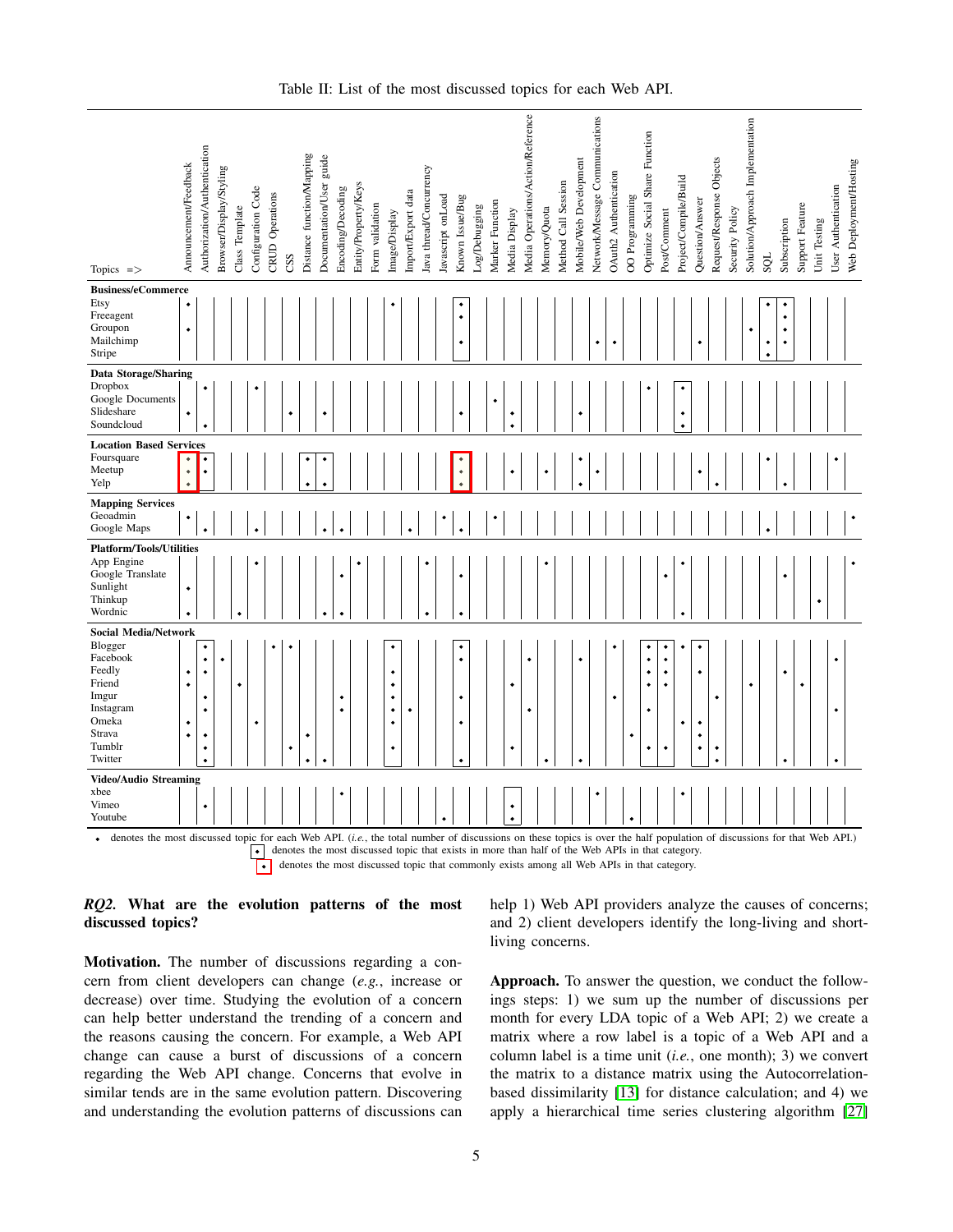<span id="page-5-0"></span>

| Topics $\Rightarrow$                                                                                                                                                                                                                                                                                                                                                                                | Announcement/Feedback                    | Authorization/Authentication                                                                 | Browser/Display/Styling | Class Template | Configuration Code | CRUD Operations | CSS | Distance function/Mapping | guide<br>Documentation/User | Encoding/Decoding      | Entity/Property/Keys | Form validation | Image/Display                                                   | Import/Export data | Java thread/Concurrency | Javascript onLoad | Known Issue/Bug                          | Log/Debugging | Marker Function | Media Display          | Media Operations/Action/Reference | Memory/Quota | Method Call Session | Mobile/Web Development | Network/Message Communications | OAuth2 Authentication | OO Programming | Optimize Social Share Function | Post/Comment                                  | Project/Compile/Build  | Question/Answer                                               | Request/Response Objects | Security Policy | Solution/Approach Implementation | sqL | Subscription | Support Feature | Unit Testing | User Authentication | Web Deployment/Hosting |
|-----------------------------------------------------------------------------------------------------------------------------------------------------------------------------------------------------------------------------------------------------------------------------------------------------------------------------------------------------------------------------------------------------|------------------------------------------|----------------------------------------------------------------------------------------------|-------------------------|----------------|--------------------|-----------------|-----|---------------------------|-----------------------------|------------------------|----------------------|-----------------|-----------------------------------------------------------------|--------------------|-------------------------|-------------------|------------------------------------------|---------------|-----------------|------------------------|-----------------------------------|--------------|---------------------|------------------------|--------------------------------|-----------------------|----------------|--------------------------------|-----------------------------------------------|------------------------|---------------------------------------------------------------|--------------------------|-----------------|----------------------------------|-----|--------------|-----------------|--------------|---------------------|------------------------|
| <b>Business/eCommerce</b><br>Etsy<br>Freeagent<br>Groupon<br>Mailchimp<br>Stripe                                                                                                                                                                                                                                                                                                                    | ٠<br>$\bullet$                           |                                                                                              |                         |                |                    |                 |     |                           |                             |                        |                      |                 |                                                                 |                    |                         |                   | ٠<br>$\bullet$<br>$\bullet$              |               |                 |                        |                                   |              |                     |                        |                                | $\bullet$             |                |                                |                                               |                        | $\bullet$                                                     |                          |                 | ٠                                | ٠   | $\bullet$    |                 |              |                     |                        |
| <b>Data Storage/Sharing</b><br>Dropbox<br>Google Documents<br>Slideshare<br>Soundcloud                                                                                                                                                                                                                                                                                                              |                                          |                                                                                              |                         |                |                    |                 |     |                           | $\bullet$                   |                        |                      |                 |                                                                 |                    |                         |                   | $\bullet$                                |               |                 | $\bullet$              |                                   |              |                     | $\bullet$              |                                |                       |                |                                |                                               | $\bullet$              |                                                               |                          |                 |                                  |     |              |                 |              |                     |                        |
| <b>Location Based Services</b><br>Foursquare<br>Meetup<br>Yelp                                                                                                                                                                                                                                                                                                                                      | $\bullet$                                | $\bullet$                                                                                    |                         |                |                    |                 |     |                           | ٠                           |                        |                      |                 |                                                                 |                    |                         |                   | $\bullet$                                |               |                 | $\bullet$              |                                   | ٠            |                     | $\bullet$              |                                |                       |                |                                |                                               |                        | ٠                                                             |                          |                 |                                  |     |              |                 |              |                     |                        |
| <b>Mapping Services</b><br>Geoadmin<br>Google Maps                                                                                                                                                                                                                                                                                                                                                  | $\bullet$                                | $\bullet$                                                                                    |                         |                |                    |                 |     |                           | $\bullet$                   | $\bullet$              |                      |                 |                                                                 |                    |                         |                   | $\bullet$                                |               |                 |                        |                                   |              |                     |                        |                                |                       |                |                                |                                               |                        |                                                               |                          |                 |                                  |     |              |                 |              |                     |                        |
| <b>Platform/Tools/Utilities</b><br>App Engine<br>Google Translate<br>Sunlight<br>Thinkup<br>Wordnic                                                                                                                                                                                                                                                                                                 | $\bullet$                                |                                                                                              |                         |                |                    |                 |     |                           | $\bullet$                   | $\bullet$<br>$\bullet$ |                      |                 |                                                                 |                    | $\bullet$               |                   | $\bullet$<br>$\bullet$                   |               |                 |                        |                                   |              |                     |                        |                                |                       |                |                                | $\bullet$                                     |                        |                                                               |                          |                 |                                  |     |              |                 | $\bullet$    |                     |                        |
| <b>Social Media/Network</b><br>Blogger<br>Facebook<br>Feedly<br>Friend<br>Imgur<br>Instagram<br>Omeka<br>Strava<br>Tumblr<br>Twitter                                                                                                                                                                                                                                                                | $\bullet$<br>$\bullet$<br>$\bullet$<br>٠ | ٠<br>$\bullet$<br>$\bullet$<br>$\bullet$<br>$\bullet$<br>$\bullet$<br>$\bullet$<br>$\bullet$ | $\bullet$               | $\bullet$      |                    |                 |     |                           |                             | ٠                      |                      |                 | $\bullet$<br>٠<br>$\bullet$<br>٠<br>٠<br>$\bullet$<br>$\bullet$ |                    |                         |                   | $\bullet$<br>٠<br>$\bullet$<br>$\bullet$ |               |                 | $\bullet$<br>$\bullet$ | ٠<br>$\bullet$                    |              |                     | $\bullet$<br>$\bullet$ |                                | $\bullet$             |                | ٠<br>$\bullet$<br>٠<br>٠       | ٠<br>$\bullet$<br>٠<br>$\bullet$<br>$\bullet$ | $\bullet$<br>$\bullet$ | $\bullet$<br>$\bullet$<br>$\bullet$<br>$\bullet$<br>$\bullet$ | $\bullet$<br>٠           |                 | $\bullet$                        |     |              | $\bullet$       |              | ٠                   |                        |
| <b>Video/Audio Streaming</b><br>xbee<br>Vimeo<br>Youtube                                                                                                                                                                                                                                                                                                                                            |                                          | $\bullet$                                                                                    |                         |                |                    |                 |     |                           |                             |                        |                      |                 |                                                                 |                    |                         |                   |                                          |               |                 | $\bullet$              |                                   |              |                     |                        |                                |                       |                |                                |                                               |                        |                                                               |                          |                 |                                  |     |              |                 |              |                     |                        |
| denotes the most discussed topic for each Web API. (i.e., the total number of discussions on these topics is over the half population of discussions for that Web API.)<br>denotes the most discussed topic that exists in more than half of the Web APIs in that category.<br>$\bullet$<br>denotes the most discussed topic that commonly exists among all Web APIs in that category.<br>$\bullet$ |                                          |                                                                                              |                         |                |                    |                 |     |                           |                             |                        |                      |                 |                                                                 |                    |                         |                   |                                          |               |                 |                        |                                   |              |                     |                        |                                |                       |                |                                |                                               |                        |                                                               |                          |                 |                                  |     |              |                 |              |                     |                        |

# Table II: List of the most discussed topics for each Web API.

# *RQ2.* What are the evolution patterns of the most discussed topics?

Motivation. The number of discussions regarding a concern from client developers can change (*e.g.*, increase or decrease) over time. Studying the evolution of a concern can help better understand the trending of a concern and the reasons causing the concern. For example, a Web API change can cause a burst of discussions of a concern regarding the Web API change. Concerns that evolve in similar tends are in the same evolution pattern. Discovering and understanding the evolution patterns of discussions can help 1) Web API providers analyze the causes of concerns; and 2) client developers identify the long-living and shortliving concerns.

Approach. To answer the question, we conduct the followings steps: 1) we sum up the number of discussions per month for every LDA topic of a Web API; 2) we create a matrix where a row label is a topic of a Web API and a column label is a time unit (*i.e.*, one month); 3) we convert the matrix to a distance matrix using the Autocorrelationbased dissimilarity [\[13\]](#page-8-13) for distance calculation; and 4) we apply a hierarchical time series clustering algorithm [\[27\]](#page-8-14)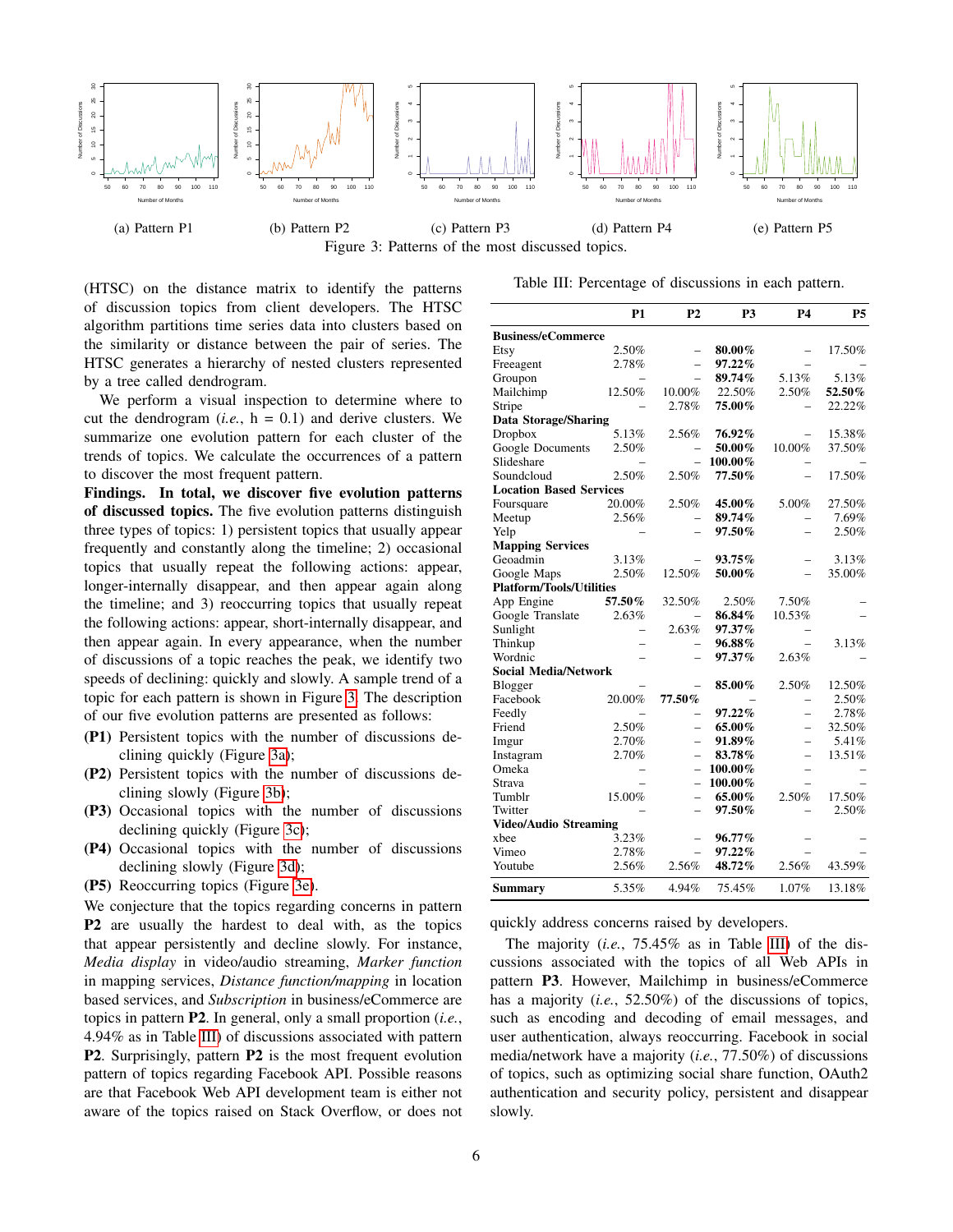<span id="page-6-0"></span>

Figure 3: Patterns of the most discussed topics.

(HTSC) on the distance matrix to identify the patterns of discussion topics from client developers. The HTSC algorithm partitions time series data into clusters based on the similarity or distance between the pair of series. The HTSC generates a hierarchy of nested clusters represented by a tree called dendrogram.

We perform a visual inspection to determine where to cut the dendrogram  $(i.e., h = 0.1)$  and derive clusters. We summarize one evolution pattern for each cluster of the trends of topics. We calculate the occurrences of a pattern to discover the most frequent pattern.

Findings. In total, we discover five evolution patterns of discussed topics. The five evolution patterns distinguish three types of topics: 1) persistent topics that usually appear frequently and constantly along the timeline; 2) occasional topics that usually repeat the following actions: appear, longer-internally disappear, and then appear again along the timeline; and 3) reoccurring topics that usually repeat the following actions: appear, short-internally disappear, and then appear again. In every appearance, when the number of discussions of a topic reaches the peak, we identify two speeds of declining: quickly and slowly. A sample trend of a topic for each pattern is shown in Figure [3.](#page-6-0) The description of our five evolution patterns are presented as follows:

- (P1) Persistent topics with the number of discussions declining quickly (Figure [3a\)](#page-6-0);
- (P2) Persistent topics with the number of discussions declining slowly (Figure [3b\)](#page-6-0);
- (P3) Occasional topics with the number of discussions declining quickly (Figure [3c\)](#page-6-0);
- (P4) Occasional topics with the number of discussions declining slowly (Figure [3d\)](#page-6-0);
- (P5) Reoccurring topics (Figure [3e\)](#page-6-0).

We conjecture that the topics regarding concerns in pattern P2 are usually the hardest to deal with, as the topics that appear persistently and decline slowly. For instance, *Media display* in video/audio streaming, *Marker function* in mapping services, *Distance function/mapping* in location based services, and *Subscription* in business/eCommerce are topics in pattern P2. In general, only a small proportion (*i.e.*, 4.94% as in Table [III\)](#page-6-1) of discussions associated with pattern P2. Surprisingly, pattern P2 is the most frequent evolution pattern of topics regarding Facebook API. Possible reasons are that Facebook Web API development team is either not aware of the topics raised on Stack Overflow, or does not

<span id="page-6-1"></span>

|  |  | Table III: Percentage of discussions in each pattern. |  |  |
|--|--|-------------------------------------------------------|--|--|
|  |  |                                                       |  |  |

|                                 | <b>P1</b> | P <sub>2</sub> | P <sub>3</sub> | <b>P4</b>                | <b>P5</b> |  |  |  |  |  |  |  |  |
|---------------------------------|-----------|----------------|----------------|--------------------------|-----------|--|--|--|--|--|--|--|--|
| <b>Business/eCommerce</b>       |           |                |                |                          |           |  |  |  |  |  |  |  |  |
| Etsy                            | 2.50%     |                | 80.00%         |                          | 17.50%    |  |  |  |  |  |  |  |  |
| Freeagent                       | 2.78%     |                | 97.22%         |                          |           |  |  |  |  |  |  |  |  |
| Groupon                         |           |                | 89.74%         | 5.13%                    | 5.13%     |  |  |  |  |  |  |  |  |
| Mailchimp                       | 12.50%    | 10.00%         | 22.50%         | 2.50%                    | 52.50%    |  |  |  |  |  |  |  |  |
| Stripe                          |           | 2.78%          | 75.00%         |                          | 22.22%    |  |  |  |  |  |  |  |  |
| <b>Data Storage/Sharing</b>     |           |                |                |                          |           |  |  |  |  |  |  |  |  |
| Dropbox                         | 5.13%     | 2.56%          | 76.92%         |                          | 15.38%    |  |  |  |  |  |  |  |  |
| Google Documents                | 2.50%     |                | 50.00%         | 10.00%                   | 37.50%    |  |  |  |  |  |  |  |  |
| Slideshare                      |           |                | 100.00%        |                          |           |  |  |  |  |  |  |  |  |
| Soundcloud                      | 2.50%     | 2.50%          | 77.50%         |                          | 17.50%    |  |  |  |  |  |  |  |  |
| <b>Location Based Services</b>  |           |                |                |                          |           |  |  |  |  |  |  |  |  |
| Foursquare                      | 20.00%    | 2.50%          | 45.00%         | 5.00%                    | 27.50%    |  |  |  |  |  |  |  |  |
| Meetup                          | 2.56%     |                | 89.74%         |                          | 7.69%     |  |  |  |  |  |  |  |  |
| Yelp                            |           |                | 97.50%         |                          | 2.50%     |  |  |  |  |  |  |  |  |
| <b>Mapping Services</b>         |           |                |                |                          |           |  |  |  |  |  |  |  |  |
| Geoadmin                        | 3.13%     |                | 93.75%         |                          | 3.13%     |  |  |  |  |  |  |  |  |
| Google Maps                     | 2.50%     | 12.50%         | 50.00%         |                          | 35.00%    |  |  |  |  |  |  |  |  |
| <b>Platform/Tools/Utilities</b> |           |                |                |                          |           |  |  |  |  |  |  |  |  |
| App Engine                      | 57.50%    | 32.50%         | 2.50%          | 7.50%                    |           |  |  |  |  |  |  |  |  |
| Google Translate                | 2.63%     |                | 86.84%         | 10.53%                   |           |  |  |  |  |  |  |  |  |
| Sunlight                        |           | 2.63%          | 97.37%         |                          |           |  |  |  |  |  |  |  |  |
| Thinkup                         |           |                | 96.88%         |                          | 3.13%     |  |  |  |  |  |  |  |  |
| Wordnic                         |           |                | 97.37%         | 2.63%                    |           |  |  |  |  |  |  |  |  |
| <b>Social Media/Network</b>     |           |                |                |                          |           |  |  |  |  |  |  |  |  |
| Blogger                         |           |                | 85.00%         | 2.50%                    | 12.50%    |  |  |  |  |  |  |  |  |
| Facebook                        | 20.00%    | 77.50%         |                |                          | 2.50%     |  |  |  |  |  |  |  |  |
| Feedly                          |           |                | 97.22%         |                          | 2.78%     |  |  |  |  |  |  |  |  |
| Friend                          | 2.50%     |                | 65.00%         | $\overline{\phantom{0}}$ | 32.50%    |  |  |  |  |  |  |  |  |
| Imgur                           | 2.70%     |                | 91.89%         |                          | 5.41%     |  |  |  |  |  |  |  |  |
| Instagram                       | 2.70%     |                | 83.78%         |                          | 13.51%    |  |  |  |  |  |  |  |  |
| Omeka                           |           |                | 100.00%        |                          |           |  |  |  |  |  |  |  |  |
| Strava                          |           |                | 100.00%        |                          |           |  |  |  |  |  |  |  |  |
| Tumblr                          | 15.00%    |                | 65.00%         | 2.50%                    | 17.50%    |  |  |  |  |  |  |  |  |
| Twitter                         |           |                | 97.50%         |                          | 2.50%     |  |  |  |  |  |  |  |  |
| <b>Video/Audio Streaming</b>    |           |                |                |                          |           |  |  |  |  |  |  |  |  |
| xbee                            | 3.23%     |                | 96.77%         |                          |           |  |  |  |  |  |  |  |  |
| Vimeo                           | 2.78%     |                | 97.22%         |                          |           |  |  |  |  |  |  |  |  |
| Youtube                         | 2.56%     | 2.56%          | 48.72%         | 2.56%                    | 43.59%    |  |  |  |  |  |  |  |  |
| Summary                         | 5.35%     | 4.94%          | 75.45%         | 1.07%                    | 13.18%    |  |  |  |  |  |  |  |  |

quickly address concerns raised by developers.

The majority (*i.e.*, 75.45% as in Table [III\)](#page-6-1) of the discussions associated with the topics of all Web APIs in pattern P3. However, Mailchimp in business/eCommerce has a majority (*i.e.*, 52.50%) of the discussions of topics, such as encoding and decoding of email messages, and user authentication, always reoccurring. Facebook in social media/network have a majority (*i.e.*, 77.50%) of discussions of topics, such as optimizing social share function, OAuth2 authentication and security policy, persistent and disappear slowly.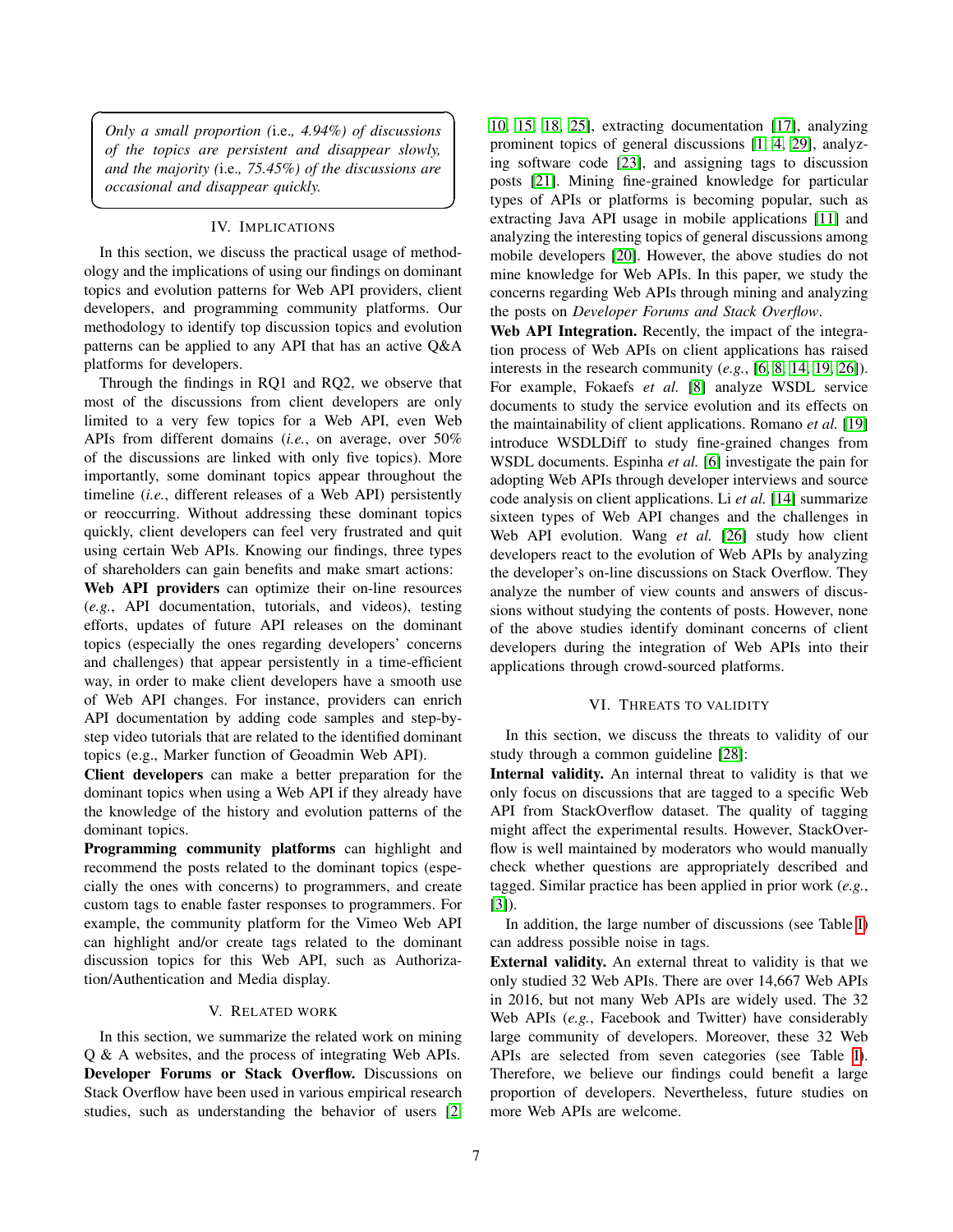*Only a small proportion (*i.e.*, 4.94%) of discussions of the topics are persistent and disappear slowly, and the majority (*i.e.*, 75.45%) of the discussions are occasional and disappear quickly.*

✟

☛

<span id="page-7-0"></span> $\overline{\phantom{0}}$ 

# IV. IMPLICATIONS

In this section, we discuss the practical usage of methodology and the implications of using our findings on dominant topics and evolution patterns for Web API providers, client developers, and programming community platforms. Our methodology to identify top discussion topics and evolution patterns can be applied to any API that has an active Q&A platforms for developers.

Through the findings in RQ1 and RQ2, we observe that most of the discussions from client developers are only limited to a very few topics for a Web API, even Web APIs from different domains (*i.e.*, on average, over 50% of the discussions are linked with only five topics). More importantly, some dominant topics appear throughout the timeline (*i.e.*, different releases of a Web API) persistently or reoccurring. Without addressing these dominant topics quickly, client developers can feel very frustrated and quit using certain Web APIs. Knowing our findings, three types of shareholders can gain benefits and make smart actions:

Web API providers can optimize their on-line resources (*e.g.*, API documentation, tutorials, and videos), testing efforts, updates of future API releases on the dominant topics (especially the ones regarding developers' concerns and challenges) that appear persistently in a time-efficient way, in order to make client developers have a smooth use of Web API changes. For instance, providers can enrich API documentation by adding code samples and step-bystep video tutorials that are related to the identified dominant topics (e.g., Marker function of Geoadmin Web API).

Client developers can make a better preparation for the dominant topics when using a Web API if they already have the knowledge of the history and evolution patterns of the dominant topics.

Programming community platforms can highlight and recommend the posts related to the dominant topics (especially the ones with concerns) to programmers, and create custom tags to enable faster responses to programmers. For example, the community platform for the Vimeo Web API can highlight and/or create tags related to the dominant discussion topics for this Web API, such as Authorization/Authentication and Media display.

# V. RELATED WORK

<span id="page-7-1"></span>In this section, we summarize the related work on mining Q & A websites, and the process of integrating Web APIs. Developer Forums or Stack Overflow. Discussions on Stack Overflow have been used in various empirical research studies, such as understanding the behavior of users [\[2,](#page-8-15)

[10,](#page-8-16) [15,](#page-8-17) [18,](#page-8-18) [25\]](#page-8-19), extracting documentation [\[17\]](#page-8-20), analyzing prominent topics of general discussions [\[1,](#page-8-21) [4,](#page-8-11) [29\]](#page-8-22), analyzing software code [\[23\]](#page-8-23), and assigning tags to discussion posts [\[21\]](#page-8-24). Mining fine-grained knowledge for particular types of APIs or platforms is becoming popular, such as extracting Java API usage in mobile applications [\[11\]](#page-8-25) and analyzing the interesting topics of general discussions among mobile developers [\[20\]](#page-8-26). However, the above studies do not mine knowledge for Web APIs. In this paper, we study the concerns regarding Web APIs through mining and analyzing the posts on *Developer Forums and Stack Overflow*.

Web API Integration. Recently, the impact of the integration process of Web APIs on client applications has raised interests in the research community (*e.g.*, [\[6,](#page-8-1) [8,](#page-8-2) [14,](#page-8-3) [19,](#page-8-27) [26\]](#page-8-4)). For example, Fokaefs *et al.* [\[8\]](#page-8-2) analyze WSDL service documents to study the service evolution and its effects on the maintainability of client applications. Romano *et al.* [\[19\]](#page-8-27) introduce WSDLDiff to study fine-grained changes from WSDL documents. Espinha *et al.* [\[6\]](#page-8-1) investigate the pain for adopting Web APIs through developer interviews and source code analysis on client applications. Li *et al.* [\[14\]](#page-8-3) summarize sixteen types of Web API changes and the challenges in Web API evolution. Wang *et al.* [\[26\]](#page-8-4) study how client developers react to the evolution of Web APIs by analyzing the developer's on-line discussions on Stack Overflow. They analyze the number of view counts and answers of discussions without studying the contents of posts. However, none of the above studies identify dominant concerns of client developers during the integration of Web APIs into their applications through crowd-sourced platforms.

# VI. THREATS TO VALIDITY

<span id="page-7-2"></span>In this section, we discuss the threats to validity of our study through a common guideline [\[28\]](#page-8-28):

Internal validity. An internal threat to validity is that we only focus on discussions that are tagged to a specific Web API from StackOverflow dataset. The quality of tagging might affect the experimental results. However, StackOverflow is well maintained by moderators who would manually check whether questions are appropriately described and tagged. Similar practice has been applied in prior work (*e.g.*, [\[3\]](#page-8-29)).

In addition, the large number of discussions (see Table [I\)](#page-3-0) can address possible noise in tags.

External validity. An external threat to validity is that we only studied 32 Web APIs. There are over 14,667 Web APIs in 2016, but not many Web APIs are widely used. The 32 Web APIs (*e.g.*, Facebook and Twitter) have considerably large community of developers. Moreover, these 32 Web APIs are selected from seven categories (see Table [I\)](#page-3-0). Therefore, we believe our findings could benefit a large proportion of developers. Nevertheless, future studies on more Web APIs are welcome.